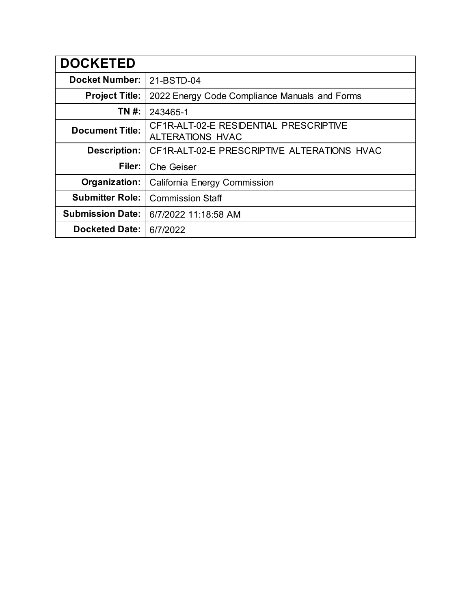| <b>DOCKETED</b>         |                                                                   |
|-------------------------|-------------------------------------------------------------------|
| <b>Docket Number:</b>   | 21-BSTD-04                                                        |
| <b>Project Title:</b>   | 2022 Energy Code Compliance Manuals and Forms                     |
| TN #:                   | 243465-1                                                          |
| <b>Document Title:</b>  | CF1R-ALT-02-E RESIDENTIAL PRESCRIPTIVE<br><b>ALTERATIONS HVAC</b> |
| <b>Description:</b>     | CF1R-ALT-02-E PRESCRIPTIVE ALTERATIONS HVAC                       |
| Filer:                  | <b>Che Geiser</b>                                                 |
| Organization:           | California Energy Commission                                      |
| <b>Submitter Role:</b>  | <b>Commission Staff</b>                                           |
| <b>Submission Date:</b> | 6/7/2022 11:18:58 AM                                              |
| <b>Docketed Date:</b>   | 6/7/2022                                                          |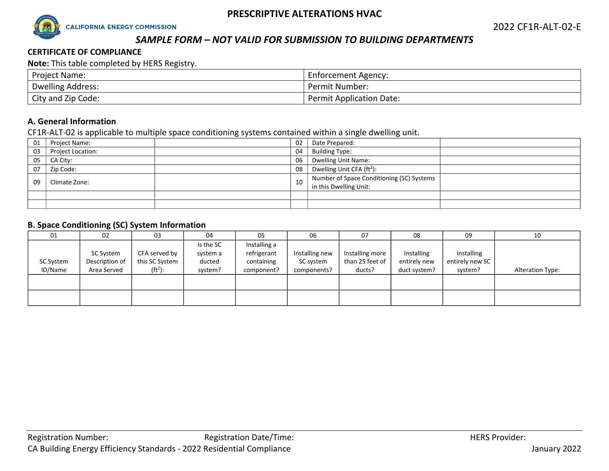

# *SAMPLE FORM – NOT VALID FOR SUBMISSION TO BUILDING DEPARTMENTS*

#### **CERTIFICATE OF COMPLIANCE**

**Note:** This table completed by HERS Registry.

| <b>Project Name:</b>     | Enforcement Agency:             |
|--------------------------|---------------------------------|
| <b>Dwelling Address:</b> | Permit Number:                  |
| City and Zip Code:       | <b>Permit Application Date:</b> |

#### **A. General Information**

CF1R-ALT-02 is applicable to multiple space conditioning systems contained within a single dwelling unit.

| 01 | Project Name:     | 02 |    | Date Prepared:                            |  |
|----|-------------------|----|----|-------------------------------------------|--|
| 03 | Project Location: | 04 |    | <b>Building Type:</b>                     |  |
| 05 | CA City:          |    | 06 | <b>Dwelling Unit Name:</b>                |  |
| 07 | Zip Code:         | 08 |    | Dwelling Unit CFA (ft <sup>2</sup> ):     |  |
| 09 | Climate Zone:     | 10 |    | Number of Space Conditioning (SC) Systems |  |
|    |                   |    |    | in this Dwelling Unit:                    |  |
|    |                   |    |    |                                           |  |
|    |                   |    |    |                                           |  |

#### **B. Space Conditioning (SC) System Information**

| 01                   | 02                                         | 03                                            | 04                                         | 05                                                      | 06                                         | 07                                           | 08                                         | 09                                       | 10                      |
|----------------------|--------------------------------------------|-----------------------------------------------|--------------------------------------------|---------------------------------------------------------|--------------------------------------------|----------------------------------------------|--------------------------------------------|------------------------------------------|-------------------------|
| SC System<br>ID/Name | SC System<br>Description of<br>Area Served | CFA served by<br>this SC System<br>$(ft^2)$ : | Is the SC<br>system a<br>ducted<br>system? | Installing a<br>refrigerant<br>containing<br>component? | Installing new<br>SC system<br>components? | Installing more<br>than 25 feet of<br>ducts? | Installing<br>entirely new<br>duct system? | Installing<br>entirely new SC<br>system? | <b>Alteration Type:</b> |
|                      |                                            |                                               |                                            |                                                         |                                            |                                              |                                            |                                          |                         |
|                      |                                            |                                               |                                            |                                                         |                                            |                                              |                                            |                                          |                         |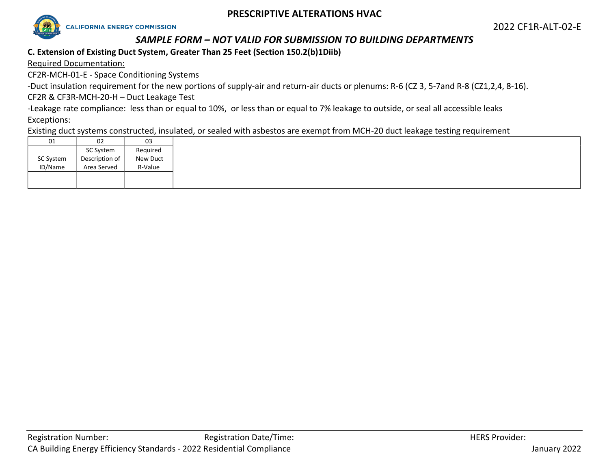

# *SAMPLE FORM – NOT VALID FOR SUBMISSION TO BUILDING DEPARTMENTS*

# **C. Extension of Existing Duct System, Greater Than 25 Feet (Section 150.2(b)1Diib)**

Required Documentation:

CF2R-MCH-01-E - Space Conditioning Systems

-Duct insulation requirement for the new portions of supply-air and return-air ducts or plenums: R-6 (CZ 3, 5-7and R-8 (CZ1,2,4, 8-16).

CF2R & CF3R-MCH-20-H – Duct Leakage Test

-Leakage rate compliance: less than or equal to 10%, or less than or equal to 7% leakage to outside, or seal all accessible leaks

# Exceptions:

Existing duct systems constructed, insulated, or sealed with asbestos are exempt from MCH-20 duct leakage testing requirement

| 01        | 02             | 03       |
|-----------|----------------|----------|
|           | SC System      | Required |
| SC System | Description of | New Duct |
| ID/Name   | Area Served    | R-Value  |
|           |                |          |
|           |                |          |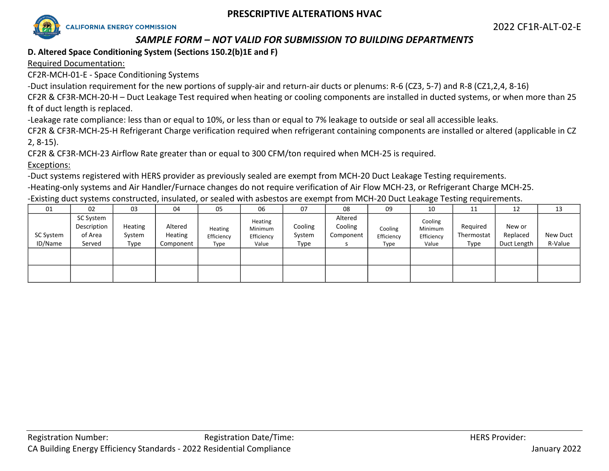

# *SAMPLE FORM – NOT VALID FOR SUBMISSION TO BUILDING DEPARTMENTS*

# **D. Altered Space Conditioning System (Sections 150.2(b)1E and F)**

Required Documentation:

CF2R-MCH-01-E - Space Conditioning Systems

-Duct insulation requirement for the new portions of supply-air and return-air ducts or plenums: R-6 (CZ3, 5-7) and R-8 (CZ1,2,4, 8-16)

CF2R & CF3R-MCH-20-H – Duct Leakage Test required when heating or cooling components are installed in ducted systems, or when more than 25 ft of duct length is replaced.

-Leakage rate compliance: less than or equal to 10%, or less than or equal to 7% leakage to outside or seal all accessible leaks.

CF2R & CF3R-MCH-25-H Refrigerant Charge verification required when refrigerant containing components are installed or altered (applicable in CZ 2, 8-15).

CF2R & CF3R-MCH-23 Airflow Rate greater than or equal to 300 CFM/ton required when MCH-25 is required.

Exceptions:

-Duct systems registered with HERS provider as previously sealed are exempt from MCH-20 Duct Leakage Testing requirements.

-Heating-only systems and Air Handler/Furnace changes do not require verification of Air Flow MCH-23, or Refrigerant Charge MCH-25. -Existing duct systems constructed, insulated, or sealed with asbestos are exempt from MCH-20 Duct Leakage Testing requirements.

| 01                          | 02                                            | 03                        | 04                              | 05                            | 06                                        | 07                        | 08                              | 09                            | 10                                        | 11                             | 12                                | 13                  |
|-----------------------------|-----------------------------------------------|---------------------------|---------------------------------|-------------------------------|-------------------------------------------|---------------------------|---------------------------------|-------------------------------|-------------------------------------------|--------------------------------|-----------------------------------|---------------------|
| <b>SC System</b><br>ID/Name | SC System<br>Description<br>of Area<br>Served | Heating<br>System<br>Type | Altered<br>Heating<br>Component | Heating<br>Efficiency<br>Type | Heating<br>Minimum<br>Efficiency<br>Value | Cooling<br>System<br>Type | Altered<br>Cooling<br>Component | Cooling<br>Efficiency<br>Type | Cooling<br>Minimum<br>Efficiency<br>Value | Required<br>Thermostat<br>Type | New or<br>Replaced<br>Duct Length | New Duct<br>R-Value |
|                             |                                               |                           |                                 |                               |                                           |                           |                                 |                               |                                           |                                |                                   |                     |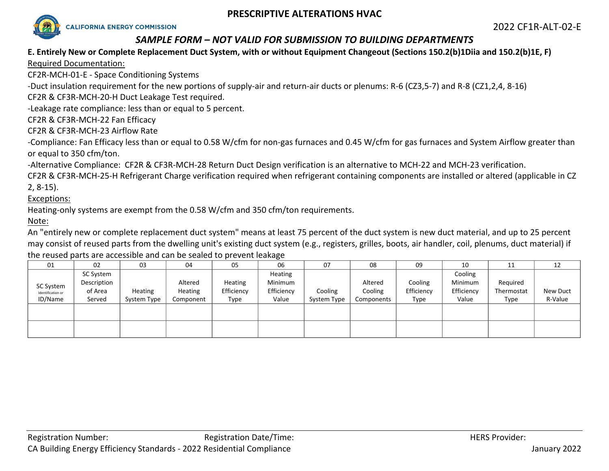

# *SAMPLE FORM – NOT VALID FOR SUBMISSION TO BUILDING DEPARTMENTS*

# **E. Entirely New or Complete Replacement Duct System, with or without Equipment Changeout (Sections 150.2(b)1Diia and 150.2(b)1E, F)**

Required Documentation:

CF2R-MCH-01-E - Space Conditioning Systems

-Duct insulation requirement for the new portions of supply-air and return-air ducts or plenums: R-6 (CZ3,5-7) and R-8 (CZ1,2,4, 8-16)

CF2R & CF3R-MCH-20-H Duct Leakage Test required.

-Leakage rate compliance: less than or equal to 5 percent.

CF2R & CF3R-MCH-22 Fan Efficacy

CF2R & CF3R-MCH-23 Airflow Rate

-Compliance: Fan Efficacy less than or equal to 0.58 W/cfm for non-gas furnaces and 0.45 W/cfm for gas furnaces and System Airflow greater than or equal to 350 cfm/ton.

-Alternative Compliance: CF2R & CF3R-MCH-28 Return Duct Design verification is an alternative to MCH-22 and MCH-23 verification.

CF2R & CF3R-MCH-25-H Refrigerant Charge verification required when refrigerant containing components are installed or altered (applicable in CZ 2, 8-15).

Exceptions:

Heating-only systems are exempt from the 0.58 W/cfm and 350 cfm/ton requirements.

Note:

An "entirely new or complete replacement duct system" means at least 75 percent of the duct system is new duct material, and up to 25 percent may consist of reused parts from the dwelling unit's existing duct system (e.g., registers, grilles, boots, air handler, coil, plenums, duct material) if the reused parts are accessible and can be sealed to prevent leakage

| 01                           | 02                     | 03          | 04                        | 05                    | 06                    | 07          | 08                 | 09                    | 10                    | 11                     | 12       |
|------------------------------|------------------------|-------------|---------------------------|-----------------------|-----------------------|-------------|--------------------|-----------------------|-----------------------|------------------------|----------|
|                              | SC System              |             |                           |                       | Heating               |             |                    |                       | Cooling               |                        |          |
| SC System                    | Description<br>of Area | Heating     | Altered<br><b>Heating</b> | Heating<br>Efficiency | Minimum<br>Efficiency | Cooling     | Altered<br>Cooling | Cooling<br>Efficiency | Minimum<br>Efficiency | Required<br>Thermostat | New Duct |
| Identification or<br>ID/Name | Served                 | System Type | Component                 | Type                  | Value                 | System Type | Components         | Type                  | Value                 | Type                   | R-Value  |
|                              |                        |             |                           |                       |                       |             |                    |                       |                       |                        |          |
|                              |                        |             |                           |                       |                       |             |                    |                       |                       |                        |          |
|                              |                        |             |                           |                       |                       |             |                    |                       |                       |                        |          |
|                              |                        |             |                           |                       |                       |             |                    |                       |                       |                        |          |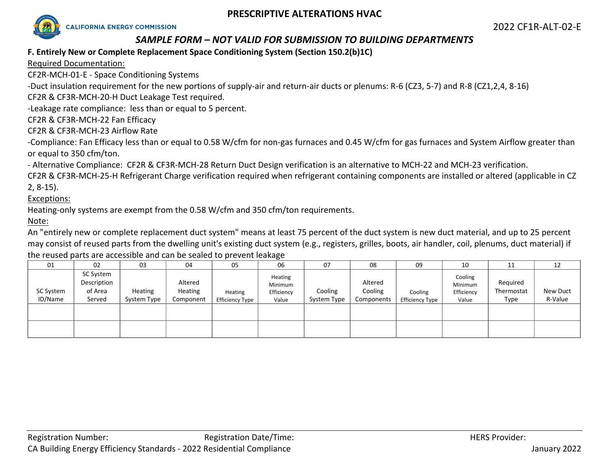

# *SAMPLE FORM – NOT VALID FOR SUBMISSION TO BUILDING DEPARTMENTS*

### **F. Entirely New or Complete Replacement Space Conditioning System (Section 150.2(b)1C)**

Required Documentation:

CF2R-MCH-01-E - Space Conditioning Systems

-Duct insulation requirement for the new portions of supply-air and return-air ducts or plenums: R-6 (CZ3, 5-7) and R-8 (CZ1,2,4, 8-16)

CF2R & CF3R-MCH-20-H Duct Leakage Test required.

-Leakage rate compliance: less than or equal to 5 percent.

CF2R & CF3R-MCH-22 Fan Efficacy

CF2R & CF3R-MCH-23 Airflow Rate

-Compliance: Fan Efficacy less than or equal to 0.58 W/cfm for non-gas furnaces and 0.45 W/cfm for gas furnaces and System Airflow greater than or equal to 350 cfm/ton.

- Alternative Compliance: CF2R & CF3R-MCH-28 Return Duct Design verification is an alternative to MCH-22 and MCH-23 verification.

CF2R & CF3R-MCH-25-H Refrigerant Charge verification required when refrigerant containing components are installed or altered (applicable in CZ 2, 8-15).

Exceptions:

Heating-only systems are exempt from the 0.58 W/cfm and 350 cfm/ton requirements.

Note:

An "entirely new or complete replacement duct system" means at least 75 percent of the duct system is new duct material, and up to 25 percent may consist of reused parts from the dwelling unit's existing duct system (e.g., registers, grilles, boots, air handler, coil, plenums, duct material) if the reused parts are accessible and can be sealed to prevent leakage

| 01                   | 02                                            | 03                     | 04                              | 05                         | 06                                        | 07                     | 08                               | 09                         | 10                                        | 11                             | 12                  |
|----------------------|-----------------------------------------------|------------------------|---------------------------------|----------------------------|-------------------------------------------|------------------------|----------------------------------|----------------------------|-------------------------------------------|--------------------------------|---------------------|
| SC System<br>ID/Name | SC System<br>Description<br>of Area<br>Served | Heating<br>System Type | Altered<br>Heating<br>Component | Heating<br>Efficiency Type | Heating<br>Minimum<br>Efficiency<br>Value | Cooling<br>System Type | Altered<br>Cooling<br>Components | Cooling<br>Efficiency Type | Cooling<br>Minimum<br>Efficiency<br>Value | Required<br>Thermostat<br>Type | New Duct<br>R-Value |
|                      |                                               |                        |                                 |                            |                                           |                        |                                  |                            |                                           |                                |                     |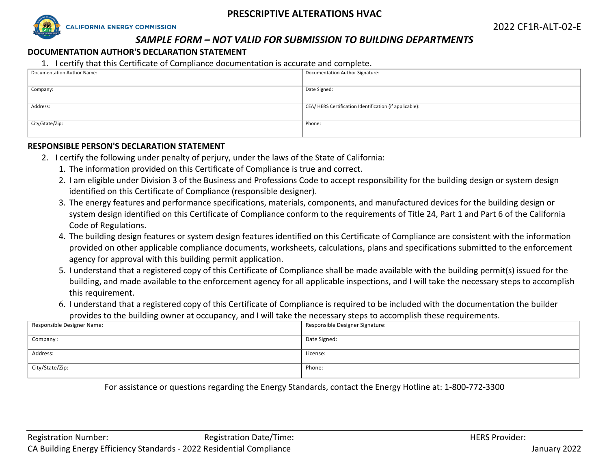

# *SAMPLE FORM – NOT VALID FOR SUBMISSION TO BUILDING DEPARTMENTS*

#### **DOCUMENTATION AUTHOR'S DECLARATION STATEMENT**

1. I certify that this Certificate of Compliance documentation is accurate and complete.

| Documentation Author Name: | Documentation Author Signature:                        |
|----------------------------|--------------------------------------------------------|
|                            |                                                        |
| Company:                   | Date Signed:                                           |
|                            |                                                        |
| Address:                   | CEA/HERS Certification Identification (if applicable): |
|                            |                                                        |
| City/State/Zip:            | Phone:                                                 |
|                            |                                                        |

#### **RESPONSIBLE PERSON'S DECLARATION STATEMENT**

- 2. I certify the following under penalty of perjury, under the laws of the State of California:
	- 1. The information provided on this Certificate of Compliance is true and correct.
	- 2. I am eligible under Division 3 of the Business and Professions Code to accept responsibility for the building design or system design identified on this Certificate of Compliance (responsible designer).
	- 3. The energy features and performance specifications, materials, components, and manufactured devices for the building design or system design identified on this Certificate of Compliance conform to the requirements of Title 24, Part 1 and Part 6 of the California Code of Regulations.
	- 4. The building design features or system design features identified on this Certificate of Compliance are consistent with the information provided on other applicable compliance documents, worksheets, calculations, plans and specifications submitted to the enforcement agency for approval with this building permit application.
	- 5. I understand that a registered copy of this Certificate of Compliance shall be made available with the building permit(s) issued for the building, and made available to the enforcement agency for all applicable inspections, and I will take the necessary steps to accomplish this requirement.
	- 6. I understand that a registered copy of this Certificate of Compliance is required to be included with the documentation the builder provides to the building owner at occupancy, and I will take the necessary steps to accomplish these requirements.

| Responsible Designer Name: | Responsible Designer Signature: |
|----------------------------|---------------------------------|
| Company:                   | Date Signed:                    |
| Address:                   | License:                        |
| City/State/Zip:            | Phone:                          |

For assistance or questions regarding the Energy Standards, contact the Energy Hotline at: 1-800-772-3300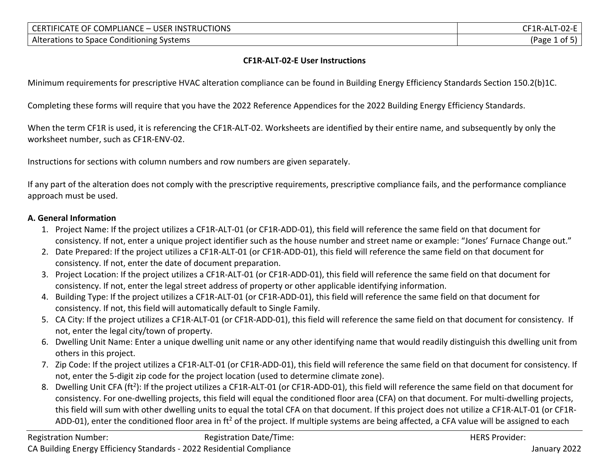| <b>USER</b><br><b>IUCTIONS</b><br>INS <sup>-</sup><br>OMPL<br>' IANC⊾<br>' IFIC<br>∖ ⊣(∖<br>нκ<br>i K<br>$\mathbf{A}$ if<br>- - | 1 K - A<br>.<br>◡∠ |
|---------------------------------------------------------------------------------------------------------------------------------|--------------------|
| Alter<br>: Systems<br>: Conditioning<br><b>Space</b><br>rations to                                                              | 'Page<br>nt.       |

#### **CF1R-ALT-02-E User Instructions**

Minimum requirements for prescriptive HVAC alteration compliance can be found in Building Energy Efficiency Standards Section 150.2(b)1C.

Completing these forms will require that you have the 2022 Reference Appendices for the 2022 Building Energy Efficiency Standards.

When the term CF1R is used, it is referencing the CF1R-ALT-02. Worksheets are identified by their entire name, and subsequently by only the worksheet number, such as CF1R-ENV-02.

Instructions for sections with column numbers and row numbers are given separately.

If any part of the alteration does not comply with the prescriptive requirements, prescriptive compliance fails, and the performance compliance approach must be used.

### **A. General Information**

- 1. Project Name: If the project utilizes a CF1R-ALT-01 (or CF1R-ADD-01), this field will reference the same field on that document for consistency. If not, enter a unique project identifier such as the house number and street name or example: "Jones' Furnace Change out."
- 2. Date Prepared: If the project utilizes a CF1R-ALT-01 (or CF1R-ADD-01), this field will reference the same field on that document for consistency. If not, enter the date of document preparation.
- 3. Project Location: If the project utilizes a CF1R-ALT-01 (or CF1R-ADD-01), this field will reference the same field on that document for consistency. If not, enter the legal street address of property or other applicable identifying information.
- 4. Building Type: If the project utilizes a CF1R-ALT-01 (or CF1R-ADD-01), this field will reference the same field on that document for consistency. If not, this field will automatically default to Single Family.
- 5. CA City: If the project utilizes a CF1R-ALT-01 (or CF1R-ADD-01), this field will reference the same field on that document for consistency. If not, enter the legal city/town of property.
- 6. Dwelling Unit Name: Enter a unique dwelling unit name or any other identifying name that would readily distinguish this dwelling unit from others in this project.
- 7. Zip Code: If the project utilizes a CF1R-ALT-01 (or CF1R-ADD-01), this field will reference the same field on that document for consistency. If not, enter the 5-digit zip code for the project location (used to determine climate zone).
- 8. Dwelling Unit CFA (ft<sup>2</sup>): If the project utilizes a CF1R-ALT-01 (or CF1R-ADD-01), this field will reference the same field on that document for consistency. For one-dwelling projects, this field will equal the conditioned floor area (CFA) on that document. For multi-dwelling projects, this field will sum with other dwelling units to equal the total CFA on that document. If this project does not utilize a CF1R-ALT-01 (or CF1R-ADD-01), enter the conditioned floor area in ft<sup>2</sup> of the project. If multiple systems are being affected, a CFA value will be assigned to each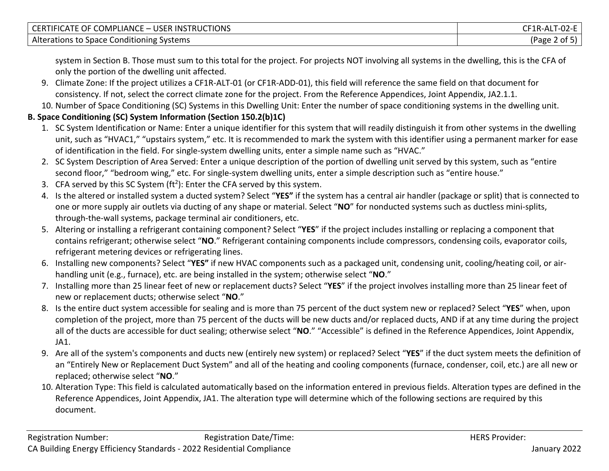| <b>COMPLIANCE</b><br><b>USER INSTRUCTIONS</b><br>OF <sub>1</sub><br>$\sf CER^-$<br>$\lambda$ HEICATE $\ell$<br>$= 1$ | $\sim$ $\sim$<br>$\mathsf{CF1R}\text{-}\mathsf{ALT}\cdot$<br>-UZ-E |
|----------------------------------------------------------------------------------------------------------------------|--------------------------------------------------------------------|
| .<br>Alterations to<br>. Systems<br>) Space Conditioning !                                                           | (Page<br>ot.                                                       |

system in Section B. Those must sum to this total for the project. For projects NOT involving all systems in the dwelling, this is the CFA of only the portion of the dwelling unit affected.

- 9. Climate Zone: If the project utilizes a CF1R-ALT-01 (or CF1R-ADD-01), this field will reference the same field on that document for consistency. If not, select the correct climate zone for the project. From the Reference Appendices, Joint Appendix, JA2.1.1.
- 10. Number of Space Conditioning (SC) Systems in this Dwelling Unit: Enter the number of space conditioning systems in the dwelling unit.

# **B. Space Conditioning (SC) System Information (Section 150.2(b)1C)**

- 1. SC System Identification or Name: Enter a unique identifier for this system that will readily distinguish it from other systems in the dwelling unit, such as "HVAC1," "upstairs system," etc. It is recommended to mark the system with this identifier using a permanent marker for ease of identification in the field. For single-system dwelling units, enter a simple name such as "HVAC."
- 2. SC System Description of Area Served: Enter a unique description of the portion of dwelling unit served by this system, such as "entire second floor," "bedroom wing," etc. For single-system dwelling units, enter a simple description such as "entire house."
- 3. CFA served by this SC System  $(ft^2)$ : Enter the CFA served by this system.
- 4. Is the altered or installed system a ducted system? Select "**YES"** if the system has a central air handler (package or split) that is connected to one or more supply air outlets via ducting of any shape or material. Select "**NO**" for nonducted systems such as ductless mini-splits, through-the-wall systems, package terminal air conditioners, etc.
- 5. Altering or installing a refrigerant containing component? Select "**YES**" if the project includes installing or replacing a component that contains refrigerant; otherwise select "**NO**." Refrigerant containing components include compressors, condensing coils, evaporator coils, refrigerant metering devices or refrigerating lines.
- 6. Installing new components? Select "**YES"** if new HVAC components such as a packaged unit, condensing unit, cooling/heating coil, or airhandling unit (e.g., furnace), etc. are being installed in the system; otherwise select "**NO**."
- 7. Installing more than 25 linear feet of new or replacement ducts? Select "**YES**" if the project involves installing more than 25 linear feet of new or replacement ducts; otherwise select "**NO**."
- 8. Is the entire duct system accessible for sealing and is more than 75 percent of the duct system new or replaced? Select "**YES**" when, upon completion of the project, more than 75 percent of the ducts will be new ducts and/or replaced ducts, AND if at any time during the project all of the ducts are accessible for duct sealing; otherwise select "**NO**." "Accessible" is defined in the Reference Appendices, Joint Appendix, JA1.
- 9. Are all of the system's components and ducts new (entirely new system) or replaced? Select "**YES**" if the duct system meets the definition of an "Entirely New or Replacement Duct System" and all of the heating and cooling components (furnace, condenser, coil, etc.) are all new or replaced; otherwise select "**NO**."
- 10. Alteration Type: This field is calculated automatically based on the information entered in previous fields. Alteration types are defined in the Reference Appendices, Joint Appendix, JA1. The alteration type will determine which of the following sections are required by this document.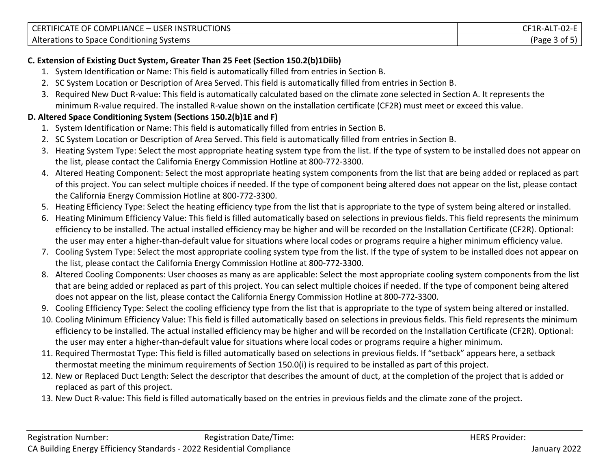| LIANCE<br>. – USER<br><b>TIONS</b><br>יMP!<br><b>CERTIFICATE</b><br>OF<br>. INS<br>TRUC | .<br>. I -02-E<br>IK ALI |
|-----------------------------------------------------------------------------------------|--------------------------|
| Alterations to Space Conditioning !                                                     | Page                     |
| : Systems                                                                               | .                        |

# **C. Extension of Existing Duct System, Greater Than 25 Feet (Section 150.2(b)1Diib)**

- 1. System Identification or Name: This field is automatically filled from entries in Section B.
- 2. SC System Location or Description of Area Served. This field is automatically filled from entries in Section B.
- 3. Required New Duct R-value: This field is automatically calculated based on the climate zone selected in Section A. It represents the minimum R-value required. The installed R-value shown on the installation certificate (CF2R) must meet or exceed this value.

# **D. Altered Space Conditioning System (Sections 150.2(b)1E and F)**

- 1. System Identification or Name: This field is automatically filled from entries in Section B.
- 2. SC System Location or Description of Area Served. This field is automatically filled from entries in Section B.
- 3. Heating System Type: Select the most appropriate heating system type from the list. If the type of system to be installed does not appear on the list, please contact the California Energy Commission Hotline at 800-772-3300.
- 4. Altered Heating Component: Select the most appropriate heating system components from the list that are being added or replaced as part of this project. You can select multiple choices if needed. If the type of component being altered does not appear on the list, please contact the California Energy Commission Hotline at 800-772-3300.
- 5. Heating Efficiency Type: Select the heating efficiency type from the list that is appropriate to the type of system being altered or installed.
- 6. Heating Minimum Efficiency Value: This field is filled automatically based on selections in previous fields. This field represents the minimum efficiency to be installed. The actual installed efficiency may be higher and will be recorded on the Installation Certificate (CF2R). Optional: the user may enter a higher-than-default value for situations where local codes or programs require a higher minimum efficiency value.
- 7. Cooling System Type: Select the most appropriate cooling system type from the list. If the type of system to be installed does not appear on the list, please contact the California Energy Commission Hotline at 800-772-3300.
- 8. Altered Cooling Components: User chooses as many as are applicable: Select the most appropriate cooling system components from the list that are being added or replaced as part of this project. You can select multiple choices if needed. If the type of component being altered does not appear on the list, please contact the California Energy Commission Hotline at 800-772-3300.
- 9. Cooling Efficiency Type: Select the cooling efficiency type from the list that is appropriate to the type of system being altered or installed.
- 10. Cooling Minimum Efficiency Value: This field is filled automatically based on selections in previous fields. This field represents the minimum efficiency to be installed. The actual installed efficiency may be higher and will be recorded on the Installation Certificate (CF2R). Optional: the user may enter a higher-than-default value for situations where local codes or programs require a higher minimum.
- 11. Required Thermostat Type: This field is filled automatically based on selections in previous fields. If "setback" appears here, a setback thermostat meeting the minimum requirements of Section 150.0(i) is required to be installed as part of this project.
- 12. New or Replaced Duct Length: Select the descriptor that describes the amount of duct, at the completion of the project that is added or replaced as part of this project.
- 13. New Duct R-value: This field is filled automatically based on the entries in previous fields and the climate zone of the project.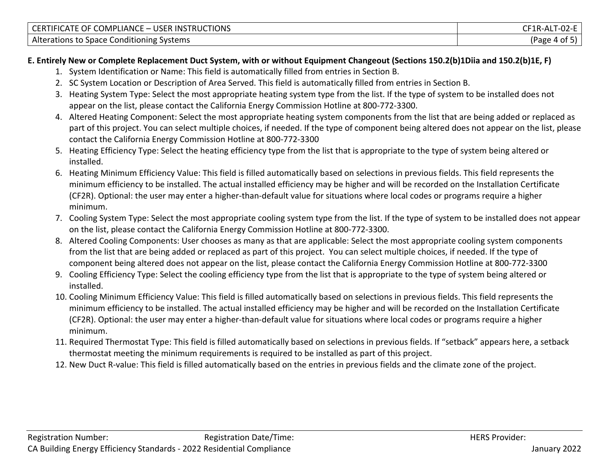| <b>COMPLIANCE</b><br>USER<br><b>UCTIONS</b><br><b>INS</b><br>UF ′<br>JER.<br>IIFICATE<br>$\overline{\phantom{0}}$<br>. | ำเว<br>⊣ R-AL<br>ັບ∠−∟<br>ᇺ |
|------------------------------------------------------------------------------------------------------------------------|-----------------------------|
| Alter:<br>Systems<br>: Conditioning<br>rations<br>Space (<br>- 11.                                                     | age'<br>Ωt                  |

# **E. Entirely New or Complete Replacement Duct System, with or without Equipment Changeout (Sections 150.2(b)1Diia and 150.2(b)1E, F)**

- 1. System Identification or Name: This field is automatically filled from entries in Section B.
- 2. SC System Location or Description of Area Served. This field is automatically filled from entries in Section B.
- 3. Heating System Type: Select the most appropriate heating system type from the list. If the type of system to be installed does not appear on the list, please contact the California Energy Commission Hotline at 800-772-3300.
- 4. Altered Heating Component: Select the most appropriate heating system components from the list that are being added or replaced as part of this project. You can select multiple choices, if needed. If the type of component being altered does not appear on the list, please contact the California Energy Commission Hotline at 800-772-3300
- 5. Heating Efficiency Type: Select the heating efficiency type from the list that is appropriate to the type of system being altered or installed.
- 6. Heating Minimum Efficiency Value: This field is filled automatically based on selections in previous fields. This field represents the minimum efficiency to be installed. The actual installed efficiency may be higher and will be recorded on the Installation Certificate (CF2R). Optional: the user may enter a higher-than-default value for situations where local codes or programs require a higher minimum.
- 7. Cooling System Type: Select the most appropriate cooling system type from the list. If the type of system to be installed does not appear on the list, please contact the California Energy Commission Hotline at 800-772-3300.
- 8. Altered Cooling Components: User chooses as many as that are applicable: Select the most appropriate cooling system components from the list that are being added or replaced as part of this project. You can select multiple choices, if needed. If the type of component being altered does not appear on the list, please contact the California Energy Commission Hotline at 800-772-3300
- 9. Cooling Efficiency Type: Select the cooling efficiency type from the list that is appropriate to the type of system being altered or installed.
- 10. Cooling Minimum Efficiency Value: This field is filled automatically based on selections in previous fields. This field represents the minimum efficiency to be installed. The actual installed efficiency may be higher and will be recorded on the Installation Certificate (CF2R). Optional: the user may enter a higher-than-default value for situations where local codes or programs require a higher minimum.
- 11. Required Thermostat Type: This field is filled automatically based on selections in previous fields. If "setback" appears here, a setback thermostat meeting the minimum requirements is required to be installed as part of this project.
- 12. New Duct R-value: This field is filled automatically based on the entries in previous fields and the climate zone of the project.